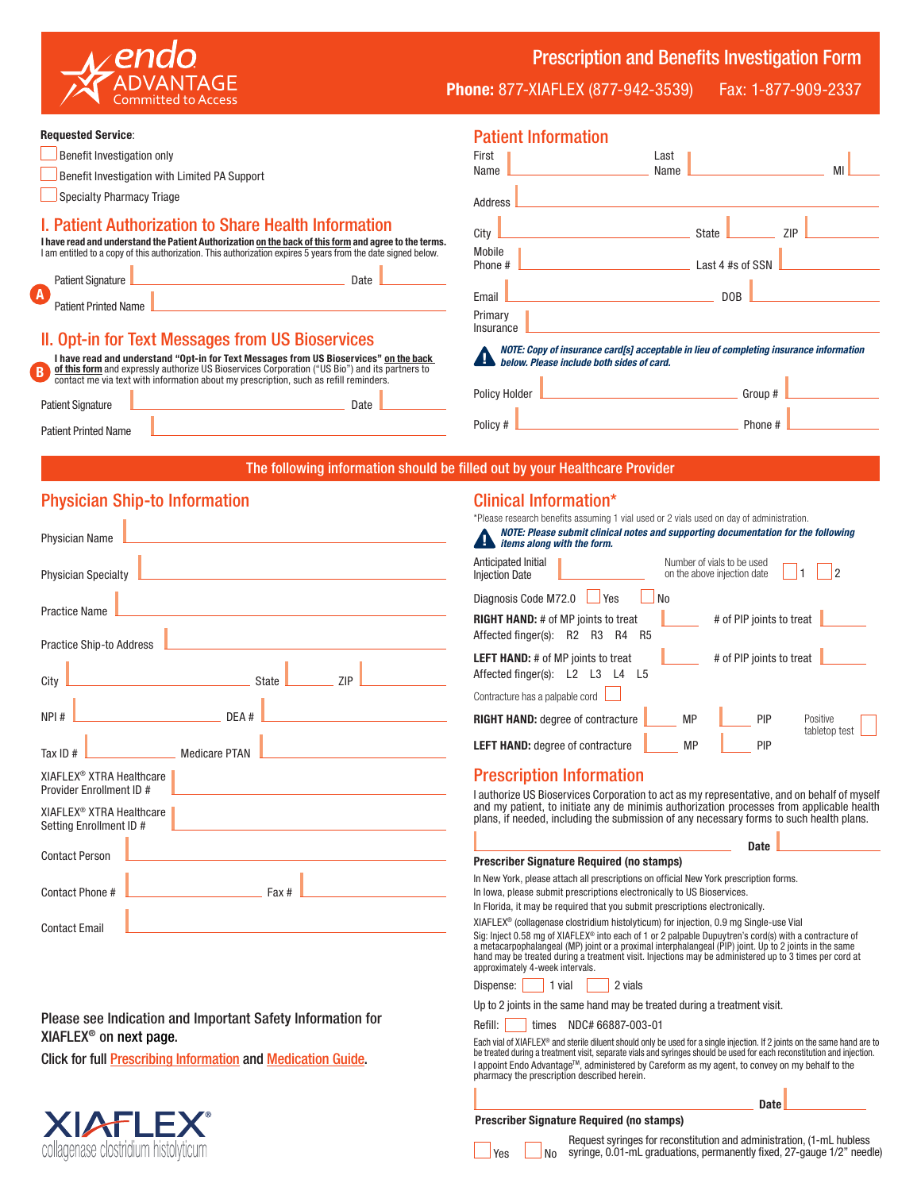

Prescription and Benefits Investigation Form

Phone: 877-XIAFLEX (877-942-3539) Fax: 1-877-909-2337

#### Requested Service:

- Benefit Investigation with Limited PA Support
- **Specialty Pharmacy Triage**

#### I. Patient Authorization to Share Health Information

I have read and understand the Patient Authorization <u>on the back of this form</u> and agree to the terms.<br>Lam entitled to a copy of this authorization. This authorization expires 5 years from the date signed below. I am entitled to a copy of this authorization. This authorization

|          |                             | <b>I din ondered to a oup f</b> or this additional and additional additional oxphosity fours non-the date orghot |      |  |
|----------|-----------------------------|------------------------------------------------------------------------------------------------------------------|------|--|
|          | <b>Patient Signature</b>    |                                                                                                                  | Date |  |
| $\bf{A}$ | <b>Patient Printed Name</b> |                                                                                                                  |      |  |

### II. Opt-in for Text Messages from US Bioservices

| I have read and understand "Opt-in for Text Messages from US Bioservices" on the back<br>$\overline{B}$<br>of this form and expressly authorize US Bioservices Corporation ("US Bio") and its partners to<br>contact me via text with information about my prescription, such as refill reminders. |  |             |  |  |  |  |  |
|----------------------------------------------------------------------------------------------------------------------------------------------------------------------------------------------------------------------------------------------------------------------------------------------------|--|-------------|--|--|--|--|--|
| <b>Patient Signature</b>                                                                                                                                                                                                                                                                           |  | <b>Date</b> |  |  |  |  |  |
| <b>Patient Printed Name</b>                                                                                                                                                                                                                                                                        |  |             |  |  |  |  |  |

| <b>Patient Information</b>                                                                                                          |                  |  |  |  |  |  |  |
|-------------------------------------------------------------------------------------------------------------------------------------|------------------|--|--|--|--|--|--|
| First                                                                                                                               | Last             |  |  |  |  |  |  |
| Name                                                                                                                                | MI<br>Name       |  |  |  |  |  |  |
| Address                                                                                                                             |                  |  |  |  |  |  |  |
| City                                                                                                                                | ZIP<br>State     |  |  |  |  |  |  |
| Mobile                                                                                                                              |                  |  |  |  |  |  |  |
| Phone #                                                                                                                             | Last 4 #s of SSN |  |  |  |  |  |  |
| Email                                                                                                                               | D <sub>O</sub> B |  |  |  |  |  |  |
| Primary<br>Insurance                                                                                                                |                  |  |  |  |  |  |  |
| NOTE: Copy of insurance card[s] acceptable in lieu of completing insurance information<br>below. Please include both sides of card. |                  |  |  |  |  |  |  |
| <b>Policy Holder</b>                                                                                                                | Group #          |  |  |  |  |  |  |

Policy # Phone #

#### The following information should be filled out by your Healthcare Provider

### Physician Ship-to Information

| <b>Physician Name</b>                                                               |  |  |  |  |  |
|-------------------------------------------------------------------------------------|--|--|--|--|--|
| <b>Physician Specialty</b>                                                          |  |  |  |  |  |
| <b>Practice Name</b><br>the control of the control of the control of the control of |  |  |  |  |  |
| Practice Ship-to Address                                                            |  |  |  |  |  |
| $\equiv$ ZIP<br><u> 1989 - Johann Barn, mars et al. (</u><br><b>State</b><br>City   |  |  |  |  |  |
| NPI#<br>DEA <sup>#</sup>                                                            |  |  |  |  |  |
| Medicare PTAN<br>Tax ID $#$                                                         |  |  |  |  |  |
| XIAFLEX <sup>®</sup> XTRA Healthcare<br>Provider Enrollment ID #                    |  |  |  |  |  |
| XIAFLEX <sup>®</sup> XTRA Healthcare<br>Setting Enrollment ID #                     |  |  |  |  |  |
| <b>Contact Person</b>                                                               |  |  |  |  |  |
| Contact Phone #<br><b>Eax</b> #                                                     |  |  |  |  |  |
| <b>Contact Email</b>                                                                |  |  |  |  |  |

### Please see Indication and Important Safety Information for XIAFLEX® on next page.

Click for full [Prescribing Information](https://www.endodocuments.com/XIAFLEX/PI) and [Medication Guide.](https://www.endodocuments.com/XIAFLEX_DC/MG)



### Clinical Information\*

| *Please research benefits assuming 1 vial used or 2 vials used on day of administration.                        |                                                           |            |                           |  |  |  |  |
|-----------------------------------------------------------------------------------------------------------------|-----------------------------------------------------------|------------|---------------------------|--|--|--|--|
| NOTE: Please submit clinical notes and supporting documentation for the following<br>items along with the form. |                                                           |            |                           |  |  |  |  |
| Anticipated Initial<br><b>Injection Date</b>                                                                    | Number of vials to be used<br>on the above injection date |            | 2                         |  |  |  |  |
| Diagnosis Code M72.0<br><b>Yes</b><br>No                                                                        |                                                           |            |                           |  |  |  |  |
| # of PIP joints to treat<br><b>RIGHT HAND:</b> # of MP joints to treat<br>Affected finger(s): R2 R3<br>R4<br>R5 |                                                           |            |                           |  |  |  |  |
| # of PIP joints to treat<br><b>LEFT HAND:</b> # of MP joints to treat<br>Affected finger(s): L2 L3<br>L5<br>L4  |                                                           |            |                           |  |  |  |  |
| Contracture has a palpable cord                                                                                 |                                                           |            |                           |  |  |  |  |
| <b>RIGHT HAND: degree of contracture</b>                                                                        | <b>MP</b>                                                 | <b>PIP</b> | Positive<br>tabletop test |  |  |  |  |
| <b>LEFT HAND: degree of contracture</b>                                                                         | <b>MP</b>                                                 | PIP        |                           |  |  |  |  |

### Prescription Information

I authorize US Bioservices Corporation to act as my representative, and on behalf of myself and my patient, to initiate any de minimis authorization processes from applicable health plans, if needed, including the submission of any necessary forms to such health plans.

Date

#### Prescriber Signature Required (no stamps)

In New York, please attach all prescriptions on official New York prescription forms.

In Iowa, please submit prescriptions electronically to US Bioservices.

In Florida, it may be required that you submit prescriptions electronically.

XIAFLEX® (collagenase clostridium histolyticum) for injection, 0.9 mg Single-use Vial

Sig: Inject 0.58 mg of XIAFLEX® into each of 1 or 2 palpable Dupuytren's cord(s) with a contracture of a metacarpophalangeal (MP) joint or a proximal interphalangeal (PIP) joint. Up to 2 joints in the same hand may be treated during a treatment visit. Injections may be administered up to 3 times per cord at approximately 4-week intervals.

Dispense: 1 vial 2 vials

Up to 2 joints in the same hand may be treated during a treatment visit.

Refill: times NDC# 66887-003-01

Each vial of XIAFLEX® and sterile diluent should only be used for a single injection. If 2 joints on the same hand are to be treated during a treatment visit, separate vials and syringes should be used for each reconstitution and injection. l appoint Endo Advantage™, administered by Careform as my agent, to convey on my behalf to the<br>pharmacy the prescription described herein.

#### Prescriber Signature Required (no stamps)



Request syringes for reconstitution and administration, (1-mL hubless syringe, 0.01-mL graduations, permanently fixed, 27-gauge 1/2" needle)

**Date**